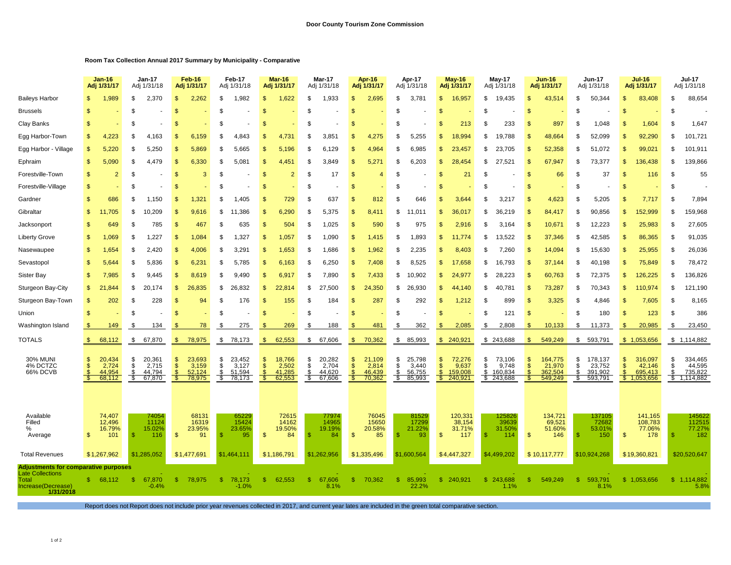## **Room Tax Collection Annual 2017 Summary by Municipality - Comparative**

|                                                                                 |                | $Jan-16$<br>Adj 1/31/17             |                        | <b>Jan-17</b><br>Adj 1/31/18        |                                    | <b>Feb-16</b><br>Adj 1/31/17        |                      | Feb-17<br>Adj 1/31/18               |                         | Mar-16<br>Adj 1/31/17               |                      | <b>Mar-17</b><br>Adj 1/31/18        |                                | Apr-16<br>Adj 1/31/17               |                      | Apr-17<br>Adj 1/31/18               |                                           | <b>May-16</b><br>Adj 1/31/17          |                      | <b>May-17</b><br>Adj 1/31/18          |                     | <b>Jun-16</b><br>Adj 1/31/17            |                       | <b>Jun-17</b><br>Adj 1/31/18            |                           | <b>Jul-16</b><br>Adj 1/31/17                |                                 | <b>Jul-17</b><br>Adj 1/31/18              |  |
|---------------------------------------------------------------------------------|----------------|-------------------------------------|------------------------|-------------------------------------|------------------------------------|-------------------------------------|----------------------|-------------------------------------|-------------------------|-------------------------------------|----------------------|-------------------------------------|--------------------------------|-------------------------------------|----------------------|-------------------------------------|-------------------------------------------|---------------------------------------|----------------------|---------------------------------------|---------------------|-----------------------------------------|-----------------------|-----------------------------------------|---------------------------|---------------------------------------------|---------------------------------|-------------------------------------------|--|
| <b>Baileys Harbor</b>                                                           |                | 1,989                               | \$                     | 2,370                               | -\$                                | 2,262                               | \$                   | 1,982                               |                         | 1,622                               | \$                   | 1,933                               | \$                             | 2,695                               | \$                   | 3,781                               | \$                                        | 16,957                                | \$                   | 19,435                                | \$                  | 43,514                                  | \$                    | 50,344                                  | \$                        | 83,408                                      | \$                              | 88,654                                    |  |
| <b>Brussels</b>                                                                 | \$             |                                     | \$                     |                                     | \$                                 |                                     | \$                   |                                     |                         |                                     | \$                   |                                     | S.                             |                                     | \$                   |                                     | S                                         |                                       | \$                   |                                       | S                   |                                         | \$                    |                                         | \$                        |                                             | -S                              |                                           |  |
| Clay Banks                                                                      |                |                                     | \$                     |                                     |                                    |                                     | \$                   |                                     |                         |                                     | \$                   |                                     | S.                             |                                     | \$                   |                                     | S                                         | 213                                   | \$                   | 233                                   | \$                  | 897                                     | \$                    | 1,048                                   | \$                        | 1,604                                       | \$                              | 1,647                                     |  |
| Egg Harbor-Town                                                                 | \$             | 4,223                               | \$                     | 4,163                               | $\mathbf{s}$                       | 6,159                               | \$                   | 4,843                               |                         | 4,731                               | \$                   | 3,851                               | \$                             | 4,275                               | \$                   | 5,255                               | \$                                        | 18,994                                | \$                   | 19,788                                | \$                  | 48,664                                  | \$                    | 52,099                                  | \$                        | 92,290                                      | -S                              | 101,721                                   |  |
| Egg Harbor - Village                                                            | \$             | 5,220                               | \$                     | 5,250                               | \$                                 | 5,869                               | \$                   | 5,665                               |                         | 5,196                               | \$                   | 6,129                               | S                              | 4,964                               | \$                   | 6,985                               | S                                         | 23,457                                | \$                   | 23,705                                | \$                  | 52,358                                  | \$                    | 51,072                                  | \$                        | 99,021                                      | \$                              | 101,911                                   |  |
| Ephraim                                                                         | \$             | 5,090                               | \$                     | 4,479                               | \$                                 | 6,330                               | \$                   | 5,081                               |                         | 4.451                               | \$                   | 3,849                               | S                              | 5,271                               | \$                   | 6,203                               | S                                         | 28,454                                | \$                   | 27,521                                | \$                  | 67,947                                  | \$                    | 73,377                                  | \$                        | 136,438                                     | \$                              | 139,866                                   |  |
| Forestville-Town                                                                | \$             | $\overline{2}$                      | \$                     |                                     | \$                                 | 3                                   | \$                   |                                     | S                       | $\overline{2}$                      | \$                   | 17                                  | S                              | 4                                   | \$                   |                                     | \$                                        | 21                                    | \$                   |                                       | \$                  | 66                                      | \$                    | 37                                      | \$                        | 116                                         | \$                              | 55                                        |  |
| Forestville-Village                                                             | \$             |                                     | \$                     |                                     | \$                                 |                                     | \$                   |                                     | \$.                     |                                     | \$                   |                                     | S                              |                                     | \$                   |                                     | S                                         |                                       | \$                   |                                       | \$                  |                                         | \$                    |                                         | \$                        |                                             | \$                              |                                           |  |
| Gardner                                                                         | \$             | 686                                 | \$                     | 1,150                               | \$                                 | 1,321                               | \$                   | 1,405                               | -SS                     | 729                                 | \$                   | 637                                 | S                              | 812                                 | \$                   | 646                                 | \$                                        | 3,644                                 | \$                   | 3,217                                 | \$                  | 4,623                                   | \$                    | 5,205                                   | \$                        | 7,717                                       | -S                              | 7,894                                     |  |
| Gibraltar                                                                       | \$             | ,705                                | \$                     | 10.209                              | \$                                 | 9,616                               | \$                   | .386                                | \$.                     | 6,290                               | \$                   | 5,375                               | S                              | 8,41                                | \$                   | .01                                 | \$                                        | 36,017                                | \$                   | 36,219                                | \$                  | 84.417                                  | \$                    | 90,856                                  | \$                        | 152,999                                     | \$                              | 159,968                                   |  |
| Jacksonport                                                                     | \$             | 649                                 | \$                     | 785                                 | $\mathbf{s}$                       | 467                                 | \$                   | 635                                 | \$                      | 504                                 | \$                   | 1,025                               | \$                             | 590                                 | \$                   | 975                                 | S                                         | 2,916                                 | \$                   | 3,164                                 | \$                  | 10,671                                  | \$                    | 12,223                                  | \$                        | 25,983                                      | -S                              | 27,605                                    |  |
| <b>Liberty Grove</b>                                                            | \$             | 1,069                               | S                      | 1,227                               | \$                                 | 1,084                               | \$                   | 1,327                               | -S                      | 1,057                               | \$                   | 1,090                               | \$                             | 1,415                               | \$                   | 1,893                               | \$                                        | 11.774                                | \$                   | 13,522                                | \$                  | 37,346                                  | \$                    | 42,585                                  | \$                        | 86,365                                      | -S                              | 91,035                                    |  |
| Nasewaupee                                                                      | \$             | 1,654                               | \$                     | 420<br>2                            | -\$                                | 4,006                               | \$                   | 3,291                               | -\$                     | 1,653                               | \$                   | 1,686                               | \$                             | 1,962                               | \$                   | 2,235                               | S                                         | 8,403                                 | \$                   | 7,260                                 | \$                  | 14,094                                  | \$                    | 15,630                                  | \$                        | 25,955                                      | -S                              | 26,036                                    |  |
| Sevastopol                                                                      | \$             | 5,644                               | \$                     | 5,836                               | $\mathbf{s}$                       | 6,231                               | \$                   | 5,785                               | \$.                     | 6,163                               | \$                   | 6,250                               | \$                             | 7,408                               | \$                   | 8,525                               | S                                         | 17,658                                | \$                   | 16,793                                | \$                  | 37,144                                  | \$                    | 40,198                                  | \$                        | 75,849                                      | -S                              | 78,472                                    |  |
| Sister Bay                                                                      | \$             | 7,985                               | \$                     | 9,445                               | -\$                                | 8,619                               | \$                   | 9,490                               |                         | 6,917                               | \$                   | 7,890                               | \$                             | 7,433                               | \$                   | 10,902                              | \$                                        | 24,977                                | \$                   | 28,223                                | \$                  | 60,763                                  | \$                    | 72,375                                  | \$                        | 126,225                                     | \$                              | 136,826                                   |  |
| Sturgeon Bay-City                                                               | \$             | 2<br>.844                           | \$                     | 20,174                              | $\frac{3}{2}$                      | 26,835                              | \$                   | 26,832                              | -\$                     | 22,814                              | \$                   | 27,500                              | \$                             | 24,350                              | \$                   | 26,930                              | \$                                        | 44,140                                | \$                   | 40.781                                | \$                  | 73,287                                  | \$                    | 70,343                                  | \$                        | 110,974                                     | \$                              | 121,190                                   |  |
| Sturgeon Bay-Town                                                               | \$             | 202                                 | S                      | 228                                 | -\$                                | 94                                  | \$                   | 176                                 | -\$                     | 155                                 | \$                   | 184                                 | \$                             | 287                                 | \$                   | 292                                 | \$                                        | 1,212                                 | \$                   | 899                                   | \$                  | 3,325                                   | \$                    | 4,846                                   | \$                        | 7,605                                       | -\$                             | 8,165                                     |  |
| Union                                                                           | \$             |                                     | \$                     |                                     | $\mathbf{s}$                       |                                     | \$                   |                                     | \$.                     |                                     | \$                   |                                     | S                              |                                     | \$                   |                                     | S                                         |                                       | \$                   | 121                                   | $\mathcal{S}$       |                                         | \$                    | 180                                     | \$                        | 123                                         | $\mathcal{S}$                   | 386                                       |  |
| Washington Island                                                               |                | 149                                 | £.                     | 134                                 |                                    | 78                                  | \$                   | 275                                 |                         | 269                                 | \$                   | 188                                 |                                | 481                                 | \$                   | 362                                 | \$                                        | 2,085                                 | \$                   | 2,808                                 | <sup>\$</sup>       | 10,133                                  | \$                    | 11,373                                  | $\mathfrak{s}$            | 20,985                                      | -S                              | 23,450                                    |  |
| TOTALS                                                                          | S.             | 68,112                              | \$                     | 67,870                              | -S                                 | 78,975                              | \$                   | 78,173                              | \$.                     | 62,553                              | \$                   | 67,606                              | \$.                            | 70,362                              | \$                   | 85,993                              |                                           | \$240,921                             |                      | \$243,688                             | \$.                 | 549,249                                 | \$                    | 593,791                                 |                           | \$1,053,656                                 |                                 | \$1,114,882                               |  |
| <b>30% MUNI</b><br>4% DCTZC<br>66% DCVB                                         | \$.            | 20,434<br>2,724<br>44,954<br>68,112 | \$<br>\$<br>\$<br>- \$ | 20,361<br>2,715<br>44,794<br>67,870 | - 5<br>$\mathfrak{s}$<br>£.<br>-SS | 23,693<br>3,159<br>52,124<br>78,975 | \$<br>\$<br>\$<br>-S | 23,452<br>3,127<br>51,594<br>78,173 | S<br>$\mathbf{s}$       | 18,766<br>2,502<br>41,285<br>62,553 | \$<br>\$<br>\$<br>-S | 20,282<br>2,704<br>44,620<br>67,606 | \$<br>$\mathsf{\$}$<br>\$<br>S | 21,109<br>2,814<br>46,439<br>70,362 | \$<br>\$<br>\$<br>S. | 25,798<br>3,440<br>56,755<br>85,993 | \$<br>$\mathsf{\$}$<br>$\mathcal{S}$<br>S | 72,276<br>9,637<br>159,008<br>240,921 | \$<br>\$<br>\$<br>S. | 73,106<br>9,748<br>160,834<br>243,688 | \$<br>\$<br>\$<br>Ж | 164,775<br>21,970<br>362,504<br>549,249 | \$<br>\$<br>\$.<br>æ. | 178,137<br>23,752<br>391,902<br>593,791 | \$<br>$\mathsf{\$}$<br>\$ | 316,097<br>42,146<br>695,413<br>\$1,053,656 | \$<br><sup>\$</sup><br>\$<br>S. | 334,465<br>44,595<br>735,822<br>1,114,882 |  |
| Available<br>Filled<br>%<br>Average                                             | $\mathfrak{s}$ | 74,407<br>12,496<br>16.79%<br>101   | \$                     | 74054<br>11124<br>15.02%<br>116     | $\mathbf{s}$                       | 68131<br>16319<br>23.95%<br>91      |                      | 65229<br>15424<br>23.65%<br>95      | $\mathbf{\mathfrak{L}}$ | 72615<br>14162<br>19.50%<br>84      | \$                   | 77974<br>14965<br>19.19%<br>84      | \$                             | 76045<br>15650<br>20.58%<br>85      | S                    | 81529<br>17299<br>21.22%<br>93      | $\mathbf{s}$                              | 120,331<br>38,154<br>31.71%<br>117    | \$                   | 125826<br>39639<br>31.50%<br>114      | $\mathbf{s}$        | 134,721<br>69,521<br>51.60%<br>146      | \$                    | 137105<br>72682<br>53.01%<br>150        | \$                        | 141,165<br>108,783<br>77.06%<br>178         | -S                              | 145622<br>112515<br>77.27%<br>182         |  |
| <b>Total Revenues</b>                                                           |                | \$1,267,962                         |                        | \$1,285,052                         |                                    | \$1,477,691                         |                      | \$1,464,111                         |                         | \$1,186,791                         |                      | \$1,262,956                         |                                | \$1,335,496                         |                      | \$1,600,564                         |                                           | \$4,447,327                           |                      | \$4,499,202                           |                     | \$10,117,777                            |                       | \$10,924,268                            |                           | \$19,360,821                                |                                 | \$20,520,647                              |  |
| <b>Adjustments for comparative purposes</b><br><b>Late Collections</b><br>Total | -S             | 68.112                              | -S                     | 67,870                              | S.                                 | 78,975                              | S.                   | 78,173                              | \$.                     | 62.553                              | \$.                  | 67,606                              | <b>S</b>                       | 70,362                              | \$.                  | 85,993                              |                                           | \$ 240,921                            | S.                   | 243.688                               | -S                  | 549.249                                 | £.                    | 593,791                                 |                           | \$1,053,656                                 |                                 | \$1,114,882                               |  |
| Increase(Decrease)<br>1/31/2018                                                 |                |                                     |                        | $-0.4%$                             |                                    |                                     |                      | $-1.0%$                             |                         |                                     |                      | 8.1%                                |                                |                                     |                      | 22.2%                               |                                           |                                       |                      | 1.1%                                  |                     |                                         |                       | 8.1%                                    |                           |                                             |                                 | 5.8%                                      |  |

Report does not Report does not include prior year revenues collected in 2017, and current year lates are included in the green total comparative section.